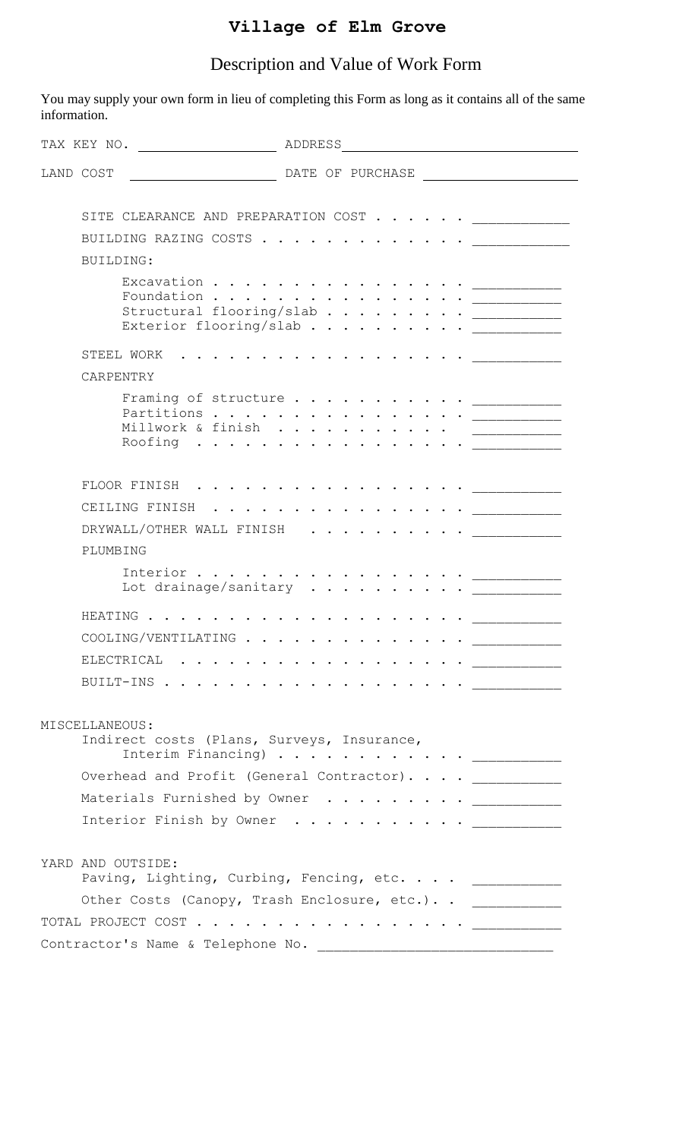## **Village of Elm Grove**

## Description and Value of Work Form

You may supply your own form in lieu of completing this Form as long as it contains all of the same information.

| TAX KEY NO.                                                                                                                                                   | ADDRESS |  |  |  |  |  |  |  |                                                                                                                                                                                                                               |  |
|---------------------------------------------------------------------------------------------------------------------------------------------------------------|---------|--|--|--|--|--|--|--|-------------------------------------------------------------------------------------------------------------------------------------------------------------------------------------------------------------------------------|--|
| LAND COST<br>DATE OF PURCHASE                                                                                                                                 |         |  |  |  |  |  |  |  |                                                                                                                                                                                                                               |  |
| SITE CLEARANCE AND PREPARATION COST _____________                                                                                                             |         |  |  |  |  |  |  |  |                                                                                                                                                                                                                               |  |
| BUILDING RAZING COSTS                                                                                                                                         |         |  |  |  |  |  |  |  |                                                                                                                                                                                                                               |  |
| BUILDING:                                                                                                                                                     |         |  |  |  |  |  |  |  |                                                                                                                                                                                                                               |  |
| Foundation $\frac{1}{2}$<br>Structural flooring/slab <u>__________</u><br>Exterior flooring/slab ____________                                                 |         |  |  |  |  |  |  |  |                                                                                                                                                                                                                               |  |
| STEEL WORK                                                                                                                                                    |         |  |  |  |  |  |  |  |                                                                                                                                                                                                                               |  |
| CARPENTRY                                                                                                                                                     |         |  |  |  |  |  |  |  |                                                                                                                                                                                                                               |  |
| Millwork & finish<br>Roofing                                                                                                                                  |         |  |  |  |  |  |  |  | $\bullet \quad \bullet \quad \bullet \quad \bullet \quad \bullet \qquad \underbrace{\qquad \qquad \qquad \qquad }_{\qquad \qquad \qquad \qquad \qquad \qquad }.\label{eq:3.10}$                                               |  |
| FLOOR FINISH<br>$\begin{array}{cccccccccccccc} \bullet & \bullet & \bullet & \bullet & \bullet & \bullet & \bullet & \bullet & \bullet & \bullet \end{array}$ |         |  |  |  |  |  |  |  | . The contract of the contract of the contract of the contract of the contract of the contract of the contract of the contract of the contract of the contract of the contract of the contract of the contract of the contrac |  |
| CEILING FINISH<br>$\sim$ $\sim$ $\sim$ $\sim$ $\sim$                                                                                                          |         |  |  |  |  |  |  |  | . <u>.</u>                                                                                                                                                                                                                    |  |
| DRYWALL/OTHER WALL FINISH                                                                                                                                     |         |  |  |  |  |  |  |  |                                                                                                                                                                                                                               |  |
| PLUMBING                                                                                                                                                      |         |  |  |  |  |  |  |  |                                                                                                                                                                                                                               |  |
| Interior $\overline{\phantom{a}}$<br>Lot drainage/sanitary __________                                                                                         |         |  |  |  |  |  |  |  |                                                                                                                                                                                                                               |  |
| HEATING                                                                                                                                                       |         |  |  |  |  |  |  |  |                                                                                                                                                                                                                               |  |
| COOLING/VENTILATING<br>$\mathcal{A}$ , and a set of the set of the set of the set of $\mathcal{A}$                                                            |         |  |  |  |  |  |  |  |                                                                                                                                                                                                                               |  |
|                                                                                                                                                               |         |  |  |  |  |  |  |  |                                                                                                                                                                                                                               |  |
|                                                                                                                                                               |         |  |  |  |  |  |  |  |                                                                                                                                                                                                                               |  |
|                                                                                                                                                               |         |  |  |  |  |  |  |  |                                                                                                                                                                                                                               |  |
| MISCELLANEOUS:<br>Indirect costs (Plans, Surveys, Insurance,                                                                                                  |         |  |  |  |  |  |  |  |                                                                                                                                                                                                                               |  |
| Overhead and Profit (General Contractor). _____________                                                                                                       |         |  |  |  |  |  |  |  |                                                                                                                                                                                                                               |  |
| Materials Furnished by Owner ____________                                                                                                                     |         |  |  |  |  |  |  |  |                                                                                                                                                                                                                               |  |
| Interior Finish by Owner <u>_________</u>                                                                                                                     |         |  |  |  |  |  |  |  |                                                                                                                                                                                                                               |  |
| YARD AND OUTSIDE:<br>Paving, Lighting, Curbing, Fencing, etc. ____________                                                                                    |         |  |  |  |  |  |  |  |                                                                                                                                                                                                                               |  |
| Other Costs (Canopy, Trash Enclosure, etc.). . ____________                                                                                                   |         |  |  |  |  |  |  |  |                                                                                                                                                                                                                               |  |
|                                                                                                                                                               |         |  |  |  |  |  |  |  |                                                                                                                                                                                                                               |  |
| Contractor's Name & Telephone No.                                                                                                                             |         |  |  |  |  |  |  |  |                                                                                                                                                                                                                               |  |